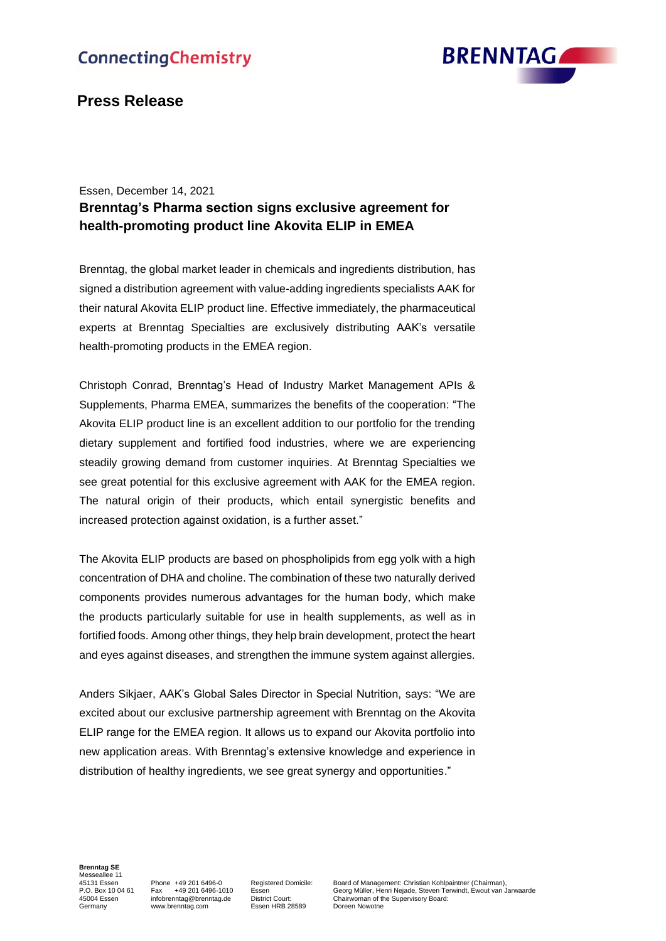

# **Press Release**

### Essen, December 14, 2021

## **Brenntag's Pharma section signs exclusive agreement for health-promoting product line Akovita ELIP in EMEA**

Brenntag, the global market leader in chemicals and ingredients distribution, has signed a distribution agreement with value-adding ingredients specialists AAK for their natural Akovita ELIP product line. Effective immediately, the pharmaceutical experts at Brenntag Specialties are exclusively distributing AAK's versatile health-promoting products in the EMEA region.

Christoph Conrad, Brenntag's Head of Industry Market Management APIs & Supplements, Pharma EMEA, summarizes the benefits of the cooperation: "The Akovita ELIP product line is an excellent addition to our portfolio for the trending dietary supplement and fortified food industries, where we are experiencing steadily growing demand from customer inquiries. At Brenntag Specialties we see great potential for this exclusive agreement with AAK for the EMEA region. The natural origin of their products, which entail synergistic benefits and increased protection against oxidation, is a further asset."

The Akovita ELIP products are based on phospholipids from egg yolk with a high concentration of DHA and choline. The combination of these two naturally derived components provides numerous advantages for the human body, which make the products particularly suitable for use in health supplements, as well as in fortified foods. Among other things, they help brain development, protect the heart and eyes against diseases, and strengthen the immune system against allergies.

Anders Sikjaer, AAK's Global Sales Director in Special Nutrition, says: "We are excited about our exclusive partnership agreement with Brenntag on the Akovita ELIP range for the EMEA region. It allows us to expand our Akovita portfolio into new application areas. With Brenntag's extensive knowledge and experience in distribution of healthy ingredients, we see great synergy and opportunities."

**Brenntag SE** Messeallee 11

German<br>District Court:<br>Essen HRB 28589

viesoscaties in Phone +49 201 6496-0 Registered Domicile: Board of Management: Christian Kohlpaintner (Chairman),<br>1999 - P.O. Box 10 04 61 Fax +49 201 6496-1010 Essen Georg Müller, Henri Nejade, Steven Terwindt, Ewout van P.O. Box 10 04 61 Fax +49 201 6496-1010 Essen Georg Müller, Henri Nejade, Steven Terwindt, Ewout van Jarwaarde<br>45004 Essen infobrenntag@brenntag.de District Court: Chairwoman of the Supervisory Board: 45004 Essen infobrenntag@brenntag.de District Court: Chairwoman of the Supervisory Board:<br>Germany www.brenntag.com Essen HRB 28589 Doreen Nowotne